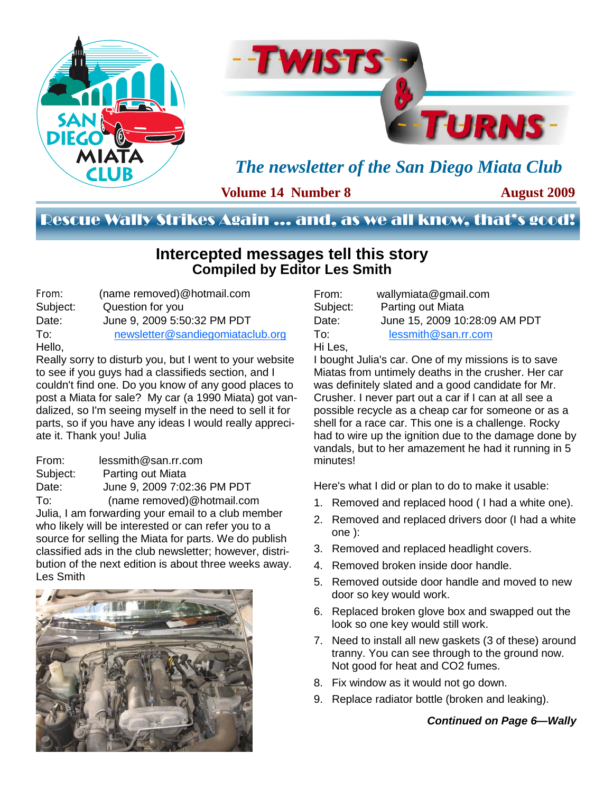



*The newsletter of the San Diego Miata Club* 

**Volume 14 Number 8** 

**August 2009** 

### Rescue Wally Strikes Again … and, as we all know, that's good!

### **Intercepted messages tell this story Compiled by Editor Les Smith**

| From:    | (name removed)@hotmail.com       |
|----------|----------------------------------|
| Subject: | Question for you                 |
| Date:    | June 9, 2009 5:50:32 PM PDT      |
| To:      | newsletter@sandiegomiataclub.org |
| Hello,   |                                  |

Really sorry to disturb you, but I went to your website to see if you guys had a classifieds section, and I couldn't find one. Do you know of any good places to post a Miata for sale? My car (a 1990 Miata) got vandalized, so I'm seeing myself in the need to sell it for parts, so if you have any ideas I would really appreciate it. Thank you! Julia

From: lessmith@san.rr.com Subject: Parting out Miata Date: June 9, 2009 7:02:36 PM PDT To: (name removed)@hotmail.com Julia, I am forwarding your email to a club member who likely will be interested or can refer you to a source for selling the Miata for parts. We do publish classified ads in the club newsletter; however, distribution of the next edition is about three weeks away. Les Smith



| wallymiata@gmail.com          |
|-------------------------------|
| Parting out Miata             |
| June 15, 2009 10:28:09 AM PDT |
| lessmith@san.rr.com           |
|                               |
|                               |

I bought Julia's car. One of my missions is to save Miatas from untimely deaths in the crusher. Her car was definitely slated and a good candidate for Mr. Crusher. I never part out a car if I can at all see a possible recycle as a cheap car for someone or as a shell for a race car. This one is a challenge. Rocky had to wire up the ignition due to the damage done by vandals, but to her amazement he had it running in 5 minutes!

Here's what I did or plan to do to make it usable:

- 1. Removed and replaced hood ( I had a white one).
- 2. Removed and replaced drivers door (I had a white one ):
- 3. Removed and replaced headlight covers.
- 4. Removed broken inside door handle.
- 5. Removed outside door handle and moved to new door so key would work.
- 6. Replaced broken glove box and swapped out the look so one key would still work.
- 7. Need to install all new gaskets (3 of these) around tranny. You can see through to the ground now. Not good for heat and CO2 fumes.
- 8. Fix window as it would not go down.
- 9. Replace radiator bottle (broken and leaking).

#### *Continued on Page 6—Wally*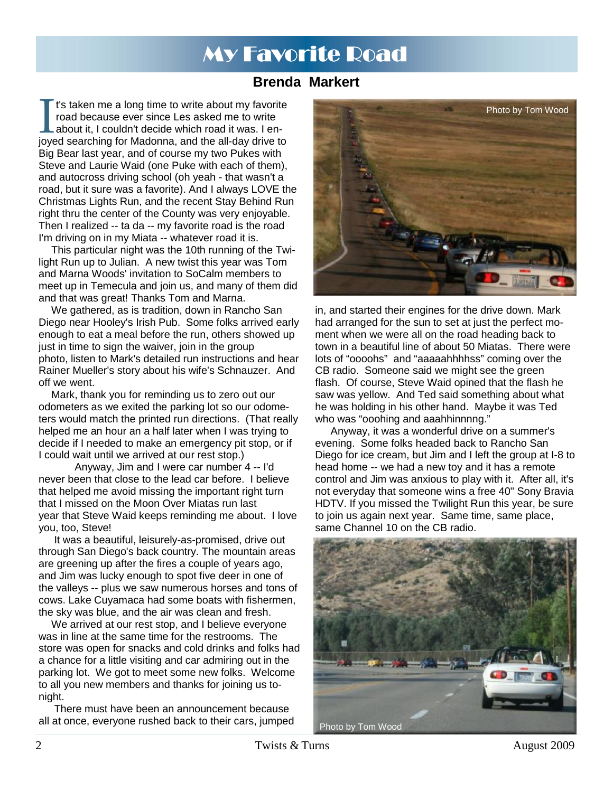# My Favorite Road

### **Brenda Markert**

It's taken me a long time to write about my favorite<br>road because ever since Les asked me to write<br>about it, I couldn't decide which road it was. I en-<br>joyed searching for Madonna, and the all-day drive to road because ever since Les asked me to write about it, I couldn't decide which road it was. I en-Big Bear last year, and of course my two Pukes with Steve and Laurie Waid (one Puke with each of them), and autocross driving school (oh yeah - that wasn't a road, but it sure was a favorite). And I always LOVE the Christmas Lights Run, and the recent Stay Behind Run right thru the center of the County was very enjoyable. Then I realized -- ta da -- my favorite road is the road I'm driving on in my Miata -- whatever road it is.

This particular night was the 10th running of the Twilight Run up to Julian. A new twist this year was Tom and Marna Woods' invitation to SoCalm members to meet up in Temecula and join us, and many of them did and that was great! Thanks Tom and Marna.

We gathered, as is tradition, down in Rancho San Diego near Hooley's Irish Pub. Some folks arrived early enough to eat a meal before the run, others showed up just in time to sign the waiver, join in the group photo, listen to Mark's detailed run instructions and hear Rainer Mueller's story about his wife's Schnauzer. And off we went.

Mark, thank you for reminding us to zero out our odometers as we exited the parking lot so our odometers would match the printed run directions. (That really helped me an hour an a half later when I was trying to decide if I needed to make an emergency pit stop, or if I could wait until we arrived at our rest stop.)

 Anyway, Jim and I were car number 4 -- I'd never been that close to the lead car before. I believe that helped me avoid missing the important right turn that I missed on the Moon Over Miatas run last year that Steve Waid keeps reminding me about. I love you, too, Steve!

 It was a beautiful, leisurely-as-promised, drive out through San Diego's back country. The mountain areas are greening up after the fires a couple of years ago, and Jim was lucky enough to spot five deer in one of the valleys -- plus we saw numerous horses and tons of cows. Lake Cuyamaca had some boats with fishermen, the sky was blue, and the air was clean and fresh.

We arrived at our rest stop, and I believe everyone was in line at the same time for the restrooms. The store was open for snacks and cold drinks and folks had a chance for a little visiting and car admiring out in the parking lot. We got to meet some new folks. Welcome to all you new members and thanks for joining us tonight.

 There must have been an announcement because all at once, everyone rushed back to their cars, jumped



in, and started their engines for the drive down. Mark had arranged for the sun to set at just the perfect moment when we were all on the road heading back to town in a beautiful line of about 50 Miatas. There were lots of "oooohs" and "aaaaahhhhss" coming over the CB radio. Someone said we might see the green flash. Of course, Steve Waid opined that the flash he saw was yellow. And Ted said something about what he was holding in his other hand. Maybe it was Ted who was "ooohing and aaahhinnnng."

 Anyway, it was a wonderful drive on a summer's evening. Some folks headed back to Rancho San Diego for ice cream, but Jim and I left the group at I-8 to head home -- we had a new toy and it has a remote control and Jim was anxious to play with it. After all, it's not everyday that someone wins a free 40" Sony Bravia HDTV. If you missed the Twilight Run this year, be sure to join us again next year. Same time, same place, same Channel 10 on the CB radio.

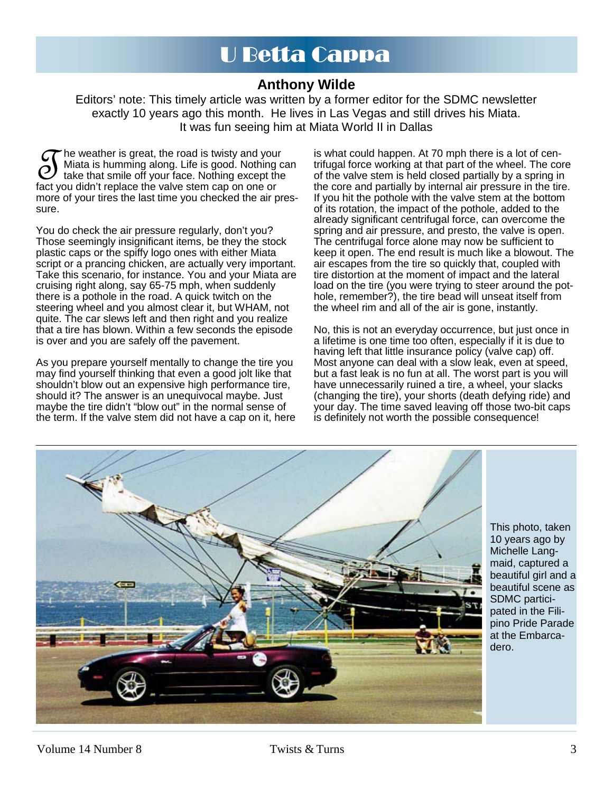# U Betta Cappa

### **Anthony Wilde**

Editors' note: This timely article was written by a former editor for the SDMC newsletter exactly 10 years ago this month. He lives in Las Vegas and still drives his Miata. It was fun seeing him at Miata World II in Dallas

The weather is great, the road is twisty and your<br>Miata is humming along. Life is good. Nothing c<br>fact you didn't replace the valve stem cap on one or Miata is humming along. Life is good. Nothing can take that smile off your face. Nothing except the fact you didn't replace the valve stem cap on one or more of your tires the last time you checked the air pressure.

You do check the air pressure regularly, don't you? Those seemingly insignificant items, be they the stock plastic caps or the spiffy logo ones with either Miata script or a prancing chicken, are actually very important. Take this scenario, for instance. You and your Miata are cruising right along, say 65-75 mph, when suddenly there is a pothole in the road. A quick twitch on the steering wheel and you almost clear it, but WHAM, not quite. The car slews left and then right and you realize that a tire has blown. Within a few seconds the episode is over and you are safely off the pavement.

As you prepare yourself mentally to change the tire you may find yourself thinking that even a good jolt like that shouldn't blow out an expensive high performance tire, should it? The answer is an unequivocal maybe. Just maybe the tire didn't "blow out" in the normal sense of the term. If the valve stem did not have a cap on it, here

is what could happen. At 70 mph there is a lot of centrifugal force working at that part of the wheel. The core of the valve stem is held closed partially by a spring in the core and partially by internal air pressure in the tire. If you hit the pothole with the valve stem at the bottom of its rotation, the impact of the pothole, added to the already significant centrifugal force, can overcome the spring and air pressure, and presto, the valve is open. The centrifugal force alone may now be sufficient to keep it open. The end result is much like a blowout. The air escapes from the tire so quickly that, coupled with tire distortion at the moment of impact and the lateral load on the tire (you were trying to steer around the pothole, remember?), the tire bead will unseat itself from the wheel rim and all of the air is gone, instantly.

No, this is not an everyday occurrence, but just once in a lifetime is one time too often, especially if it is due to having left that little insurance policy (valve cap) off. Most anyone can deal with a slow leak, even at speed, but a fast leak is no fun at all. The worst part is you will have unnecessarily ruined a tire, a wheel, your slacks (changing the tire), your shorts (death defying ride) and your day. The time saved leaving off those two-bit caps is definitely not worth the possible consequence!



This photo, taken 10 years ago by Michelle Langmaid, captured a beautiful girl and a beautiful scene as SDMC participated in the Filipino Pride Parade at the Embarcadero.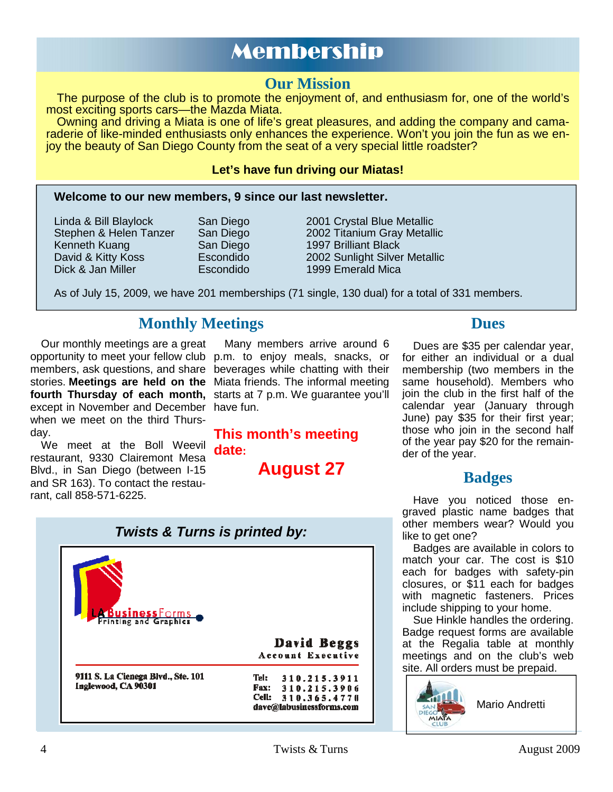# Membership

## **Our Mission**

The purpose of the club is to promote the enjoyment of, and enthusiasm for, one of the world's most exciting sports cars—the Mazda Miata.

Owning and driving a Miata is one of life's great pleasures, and adding the company and camaraderie of like-minded enthusiasts only enhances the experience. Won't you join the fun as we enjoy the beauty of San Diego County from the seat of a very special little roadster?

#### **Let's have fun driving our Miatas!**

#### **Welcome to our new members, 9 since our last newsletter.**

Kenneth Kuang **San Diego** 1997 Brilliant Black Dick & Jan Miller Escondido 1999 Emerald Mica

Linda & Bill Blaylock San Diego 2001 Crystal Blue Metallic Stephen & Helen Tanzer San Diego 2002 Titanium Gray Metallic David & Kitty Koss Escondido 2002 Sunlight Silver Metallic

As of July 15, 2009, we have 201 memberships (71 single, 130 dual) for a total of 331 members.

# **Monthly Meetings Dues**

Our monthly meetings are a great opportunity to meet your fellow club p.m. to enjoy meals, snacks, or members, ask questions, and share beverages while chatting with their stories. **Meetings are held on the**  Miata friends. The informal meeting fourth Thursday of each month, starts at 7 p.m. We guarantee you'll except in November and December have fun. when we meet on the third Thursday.

We meet at the Boll Weevil restaurant, 9330 Clairemont Mesa Blvd., in San Diego (between I-15 and SR 163). To contact the restaurant, call 858-571-6225.

Many members arrive around 6

**This month's meeting date:** 

**August 27** 

Dues are \$35 per calendar year, for either an individual or a dual membership (two members in the same household). Members who join the club in the first half of the calendar year (January through June) pay \$35 for their first year; those who join in the second half of the year pay \$20 for the remainder of the year.

# **Badges**

Have you noticed those engraved plastic name badges that other members wear? Would you like to get one?

Badges are available in colors to match your car. The cost is \$10 each for badges with safety-pin closures, or \$11 each for badges with magnetic fasteners. Prices include shipping to your home.

Sue Hinkle handles the ordering. Badge request forms are available at the Regalia table at monthly meetings and on the club's web site. All orders must be prepaid.



*Twists & Turns is printed by:* 

ABusiness Forms<br>Printing and Graphics David Beggs Account Executive 9111 S. La Cienega Blvd., Ste. 101 Tel: 310.215.3911 Inglewood, CA 90301 Fax: 310.215.3906 Cell: 310.365.4770 dave@labusinessforms.com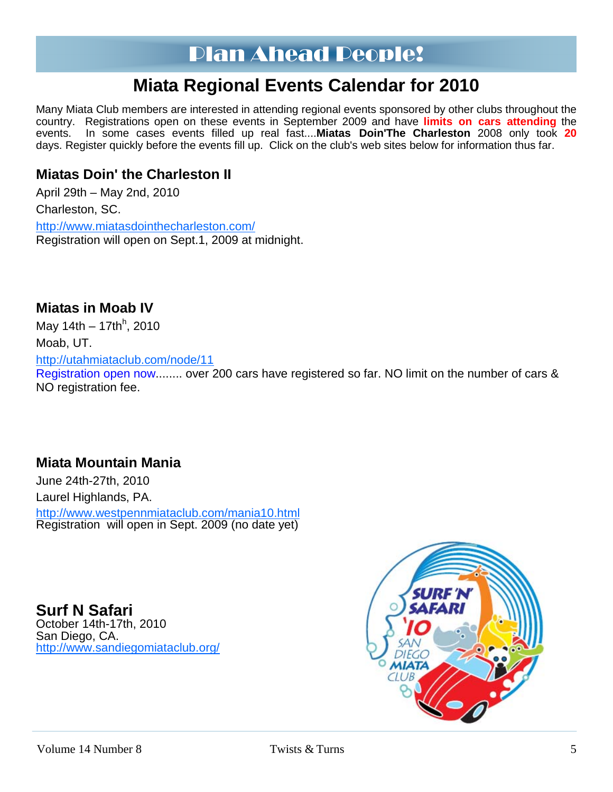# Plan Ahead People!

# **Miata Regional Events Calendar for 2010**

Many Miata Club members are interested in attending regional events sponsored by other clubs throughout the country. Registrations open on these events in September 2009 and have **limits on cars attending** the events. In some cases events filled up real fast....**Miatas Doin'The Charleston** 2008 only took **20** days. Register quickly before the events fill up. Click on the club's web sites below for information thus far.

### **Miatas Doin' the Charleston II**

April 29th – May 2nd, 2010 Charleston, SC. http://www.miatasdointhecharleston.com/ Registration will open on Sept.1, 2009 at midnight.

# **Miatas in Moab IV**

May 14th – 17th<sup>h</sup>, 2010 Moab, UT. http://utahmiataclub.com/node/11 Registration open now........ over 200 cars have registered so far. NO limit on the number of cars & NO registration fee.

### **Miata Mountain Mania**

June 24th-27th, 2010 Laurel Highlands, PA. http://www.westpennmiataclub.com/mania10.html Registration will open in Sept. 2009 (no date yet)

**Surf N Safari**  October 14th-17th, 2010 San Diego, CA. http://www.sandiegomiataclub.org/

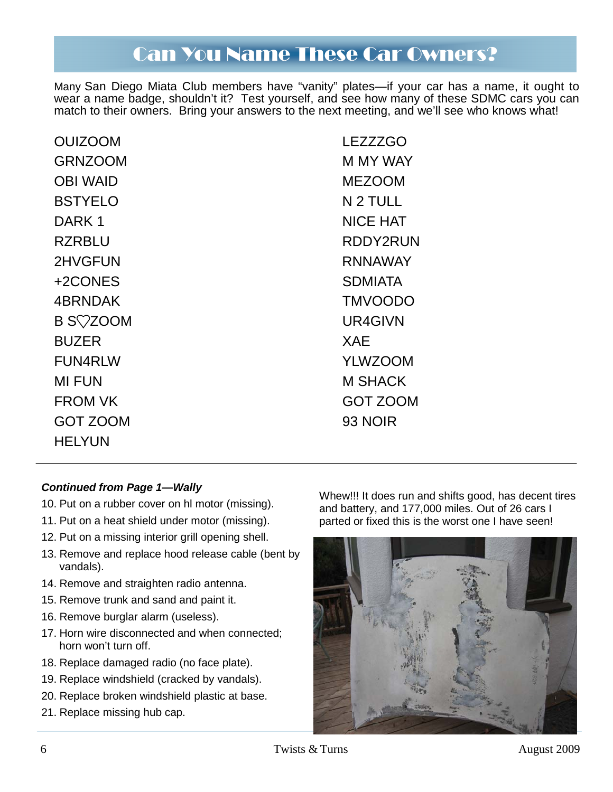# Can You Name These Car Owners?

Many San Diego Miata Club members have "vanity" plates—if your car has a name, it ought to wear a name badge, shouldn't it? Test yourself, and see how many of these SDMC cars you can match to their owners. Bring your answers to the next meeting, and we'll see who knows what!

| <b>OUIZOOM</b>  | <b>LEZZZGO</b>  |
|-----------------|-----------------|
| <b>GRNZOOM</b>  | M MY WAY        |
| <b>OBI WAID</b> | <b>MEZOOM</b>   |
| <b>BSTYELO</b>  | N 2 TULL        |
| DARK 1          | <b>NICE HAT</b> |
| <b>RZRBLU</b>   | RDDY2RUN        |
| 2HVGFUN         | <b>RNNAWAY</b>  |
| +2CONES         | <b>SDMIATA</b>  |
| 4BRNDAK         | <b>TMVOODO</b>  |
| <b>B SVZOOM</b> | UR4GIVN         |
| <b>BUZER</b>    | <b>XAE</b>      |
| <b>FUN4RLW</b>  | <b>YLWZOOM</b>  |
| <b>MI FUN</b>   | <b>M SHACK</b>  |
| <b>FROM VK</b>  | <b>GOT ZOOM</b> |
| <b>GOT ZOOM</b> | 93 NOIR         |
| HELYUN          |                 |

#### *Continued from Page 1—Wally*

- 10. Put on a rubber cover on hl motor (missing).
- 11. Put on a heat shield under motor (missing).
- 12. Put on a missing interior grill opening shell.
- 13. Remove and replace hood release cable (bent by vandals).
- 14. Remove and straighten radio antenna.
- 15. Remove trunk and sand and paint it.
- 16. Remove burglar alarm (useless).
- 17. Horn wire disconnected and when connected; horn won't turn off.
- 18. Replace damaged radio (no face plate).
- 19. Replace windshield (cracked by vandals).
- 20. Replace broken windshield plastic at base.
- 21. Replace missing hub cap.

Whew!!! It does run and shifts good, has decent tires and battery, and 177,000 miles. Out of 26 cars I parted or fixed this is the worst one I have seen!

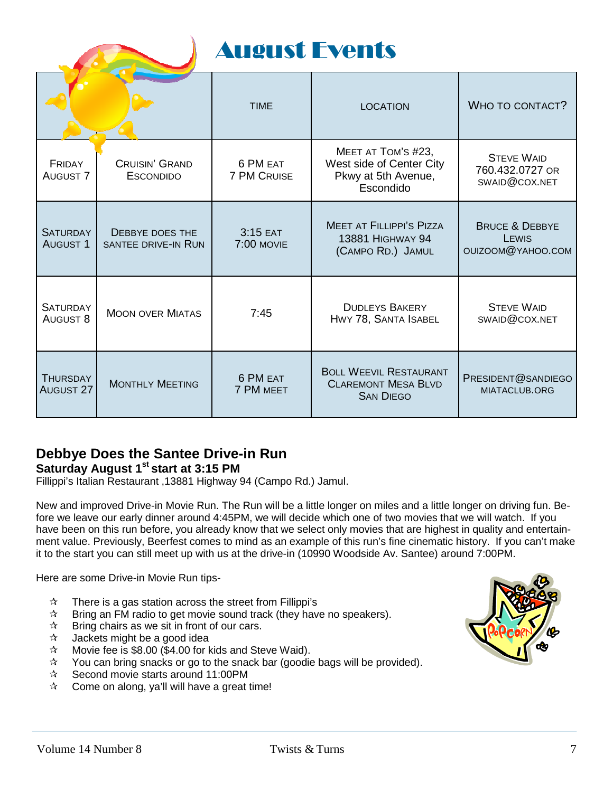| <b>August Events</b>               |                                                      |                                |                                                                                    |                                                         |
|------------------------------------|------------------------------------------------------|--------------------------------|------------------------------------------------------------------------------------|---------------------------------------------------------|
|                                    |                                                      | <b>TIME</b>                    | <b>LOCATION</b>                                                                    | WHO TO CONTACT?                                         |
| FRIDAY<br><b>AUGUST 7</b>          | CRUISIN' GRAND<br><b>ESCONDIDO</b>                   | 6 PM EAT<br><b>7 PM CRUISE</b> | MEET AT TOM'S #23,<br>West side of Center City<br>Pkwy at 5th Avenue,<br>Escondido | <b>STEVE WAID</b><br>760.432.0727 OR<br>SWAID@COX.NET   |
| <b>SATURDAY</b><br><b>AUGUST 1</b> | <b>DEBBYE DOES THE</b><br><b>SANTEE DRIVE-IN RUN</b> | 3:15 EAT<br><b>7:00 MOVIE</b>  | <b>MEET AT FILLIPPI'S PIZZA</b><br><b>13881 HIGHWAY 94</b><br>(CAMPO RD.) JAMUL    | <b>BRUCE &amp; DEBBYE</b><br>LEWIS<br>OUIZOOM@YAHOO.COM |
| <b>SATURDAY</b><br><b>AUGUST 8</b> | <b>MOON OVER MIATAS</b>                              | 7:45                           | <b>DUDLEYS BAKERY</b><br>HWY 78, SANTA ISABEL                                      | <b>STEVE WAID</b><br>SWAID@COX.NET                      |
| THURSDAY<br><b>AUGUST 27</b>       | <b>MONTHLY MEETING</b>                               | 6 PM EAT<br><b>7 PM MEET</b>   | <b>BOLL WEEVIL RESTAURANT</b><br><b>CLAREMONT MESA BLVD</b><br><b>SAN DIEGO</b>    | PRESIDENT@SANDIEGO<br>MIATACLUB.ORG                     |

### **Debbye Does the Santee Drive-in Run**  Saturday August 1<sup>st</sup> start at 3:15 PM

Fillippi's Italian Restaurant ,13881 Highway 94 (Campo Rd.) Jamul.

New and improved Drive-in Movie Run. The Run will be a little longer on miles and a little longer on driving fun. Before we leave our early dinner around 4:45PM, we will decide which one of two movies that we will watch. If you have been on this run before, you already know that we select only movies that are highest in quality and entertainment value. Previously, Beerfest comes to mind as an example of this run's fine cinematic history. If you can't make it to the start you can still meet up with us at the drive-in (10990 Woodside Av. Santee) around 7:00PM.

Here are some Drive-in Movie Run tips-

- $\mathcal{R}$  There is a gas station across the street from Fillippi's
- $\hat{x}$  Bring an FM radio to get movie sound track (they have no speakers).
- $\mathbf{\hat{x}}$  Bring chairs as we sit in front of our cars.
- $\lambda$  Jackets might be a good idea
- $\approx$  Movie fee is \$8.00 (\$4.00 for kids and Steve Waid).
- $\sqrt{x}$  You can bring snacks or go to the snack bar (goodie bags will be provided).
- $\approx$  Second movie starts around 11:00PM
- $\hat{x}$  Come on along, ya'll will have a great time!

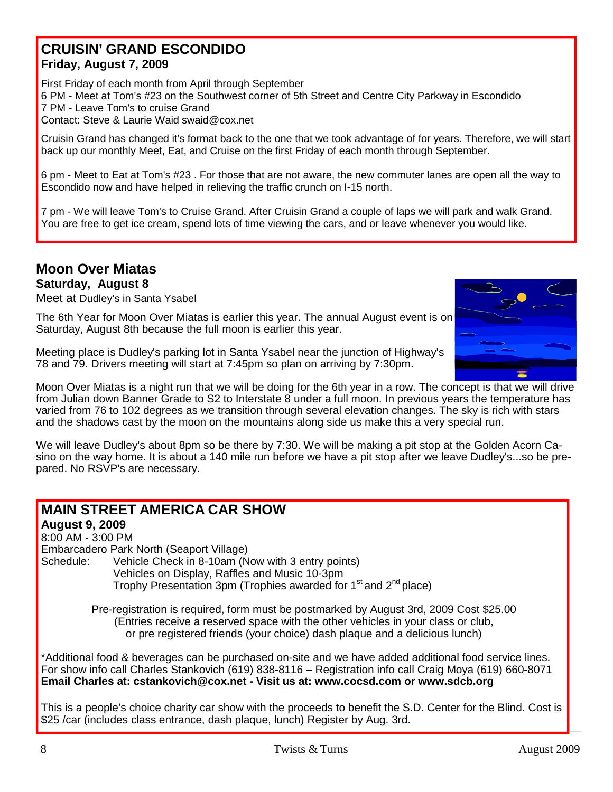### **CRUISIN' GRAND ESCONDIDO Friday, August 7, 2009**

First Friday of each month from April through September 6 PM - Meet at Tom's #23 on the Southwest corner of 5th Street and Centre City Parkway in Escondido 7 PM - Leave Tom's to cruise Grand Contact: Steve & Laurie Waid swaid@cox.net

Cruisin Grand has changed it's format back to the one that we took advantage of for years. Therefore, we will start back up our monthly Meet, Eat, and Cruise on the first Friday of each month through September.

6 pm - Meet to Eat at Tom's #23 . For those that are not aware, the new commuter lanes are open all the way to Escondido now and have helped in relieving the traffic crunch on I-15 north.

7 pm - We will leave Tom's to Cruise Grand. After Cruisin Grand a couple of laps we will park and walk Grand. You are free to get ice cream, spend lots of time viewing the cars, and or leave whenever you would like.

# **Moon Over Miatas**

**Saturday, August 8** 

Meet at Dudley's in Santa Ysabel

The 6th Year for Moon Over Miatas is earlier this year. The annual August event is on Saturday, August 8th because the full moon is earlier this year.



Moon Over Miatas is a night run that we will be doing for the 6th year in a row. The concept is that we will drive from Julian down Banner Grade to S2 to Interstate 8 under a full moon. In previous years the temperature has varied from 76 to 102 degrees as we transition through several elevation changes. The sky is rich with stars and the shadows cast by the moon on the mountains along side us make this a very special run.

We will leave Dudley's about 8pm so be there by 7:30. We will be making a pit stop at the Golden Acorn Casino on the way home. It is about a 140 mile run before we have a pit stop after we leave Dudley's...so be prepared. No RSVP's are necessary.

### **MAIN STREET AMERICA CAR SHOW August 9, 2009** 8:00 AM - 3:00 PM Embarcadero Park North (Seaport Village) Schedule: Vehicle Check in 8-10am (Now with 3 entry points) Vehicles on Display, Raffles and Music 10-3pm Trophy Presentation 3pm (Trophies awarded for 1<sup>st</sup> and 2<sup>nd</sup> place) Pre-registration is required, form must be postmarked by August 3rd, 2009 Cost \$25.00 (Entries receive a reserved space with the other vehicles in your class or club, or pre registered friends (your choice) dash plaque and a delicious lunch) \*Additional food & beverages can be purchased on-site and we have added additional food service lines. For show info call Charles Stankovich (619) 838-8116 – Registration info call Craig Moya (619) 660-8071 **Email Charles at: cstankovich@cox.net - Visit us at: www.cocsd.com or www.sdcb.org**  This is a people's choice charity car show with the proceeds to benefit the S.D. Center for the Blind. Cost is \$25 /car (includes class entrance, dash plaque, lunch) Register by Aug. 3rd.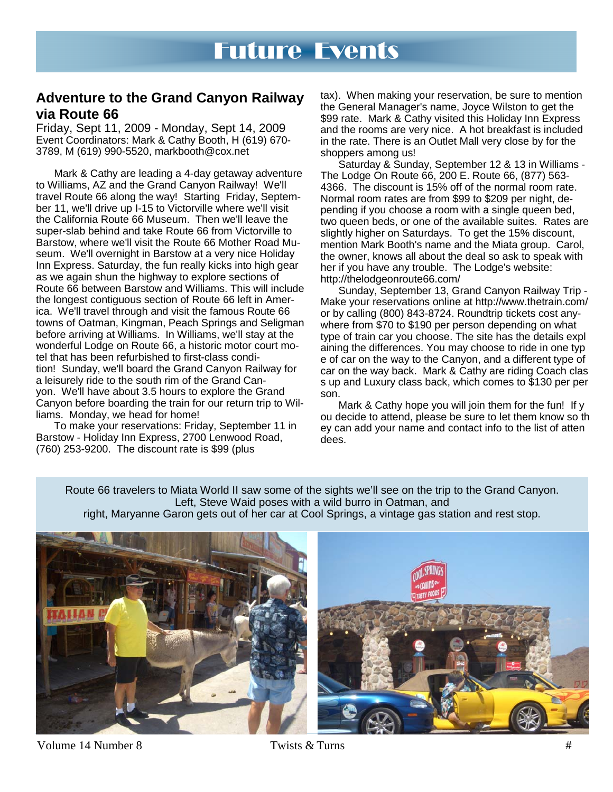#### **Adventure to the Grand Canyon Railway via Route 66**

Friday, Sept 11, 2009 - Monday, Sept 14, 2009 Event Coordinators: Mark & Cathy Booth, H (619) 670- 3789, M (619) 990-5520, markbooth@cox.net

 Mark & Cathy are leading a 4-day getaway adventure to Williams, AZ and the Grand Canyon Railway! We'll travel Route 66 along the way! Starting Friday, September 11, we'll drive up I-15 to Victorville where we'll visit the California Route 66 Museum. Then we'll leave the super-slab behind and take Route 66 from Victorville to Barstow, where we'll visit the Route 66 Mother Road Museum. We'll overnight in Barstow at a very nice Holiday Inn Express. Saturday, the fun really kicks into high gear as we again shun the highway to explore sections of Route 66 between Barstow and Williams. This will include the longest contiguous section of Route 66 left in America. We'll travel through and visit the famous Route 66 towns of Oatman, Kingman, Peach Springs and Seligman before arriving at Williams. In Williams, we'll stay at the wonderful Lodge on Route 66, a historic motor court motel that has been refurbished to first-class condition! Sunday, we'll board the Grand Canyon Railway for a leisurely ride to the south rim of the Grand Canyon. We'll have about 3.5 hours to explore the Grand Canyon before boarding the train for our return trip to Williams. Monday, we head for home!

 To make your reservations: Friday, September 11 in Barstow - Holiday Inn Express, 2700 Lenwood Road, (760) 253-9200. The discount rate is \$99 (plus

tax). When making your reservation, be sure to mention the General Manager's name, Joyce Wilston to get the \$99 rate. Mark & Cathy visited this Holiday Inn Express and the rooms are very nice. A hot breakfast is included in the rate. There is an Outlet Mall very close by for the shoppers among us!

 Saturday & Sunday, September 12 & 13 in Williams - The Lodge On Route 66, 200 E. Route 66, (877) 563- 4366. The discount is 15% off of the normal room rate. Normal room rates are from \$99 to \$209 per night, depending if you choose a room with a single queen bed, two queen beds, or one of the available suites. Rates are slightly higher on Saturdays. To get the 15% discount, mention Mark Booth's name and the Miata group. Carol, the owner, knows all about the deal so ask to speak with her if you have any trouble. The Lodge's website: http://thelodgeonroute66.com/

 Sunday, September 13, Grand Canyon Railway Trip - Make your reservations online at http://www.thetrain.com/ or by calling (800) 843-8724. Roundtrip tickets cost anywhere from \$70 to \$190 per person depending on what type of train car you choose. The site has the details expl aining the differences. You may choose to ride in one typ e of car on the way to the Canyon, and a different type of car on the way back. Mark & Cathy are riding Coach clas s up and Luxury class back, which comes to \$130 per per son.

Mark & Cathy hope you will join them for the fun! If y ou decide to attend, please be sure to let them know so th ey can add your name and contact info to the list of atten dees.

Route 66 travelers to Miata World II saw some of the sights we'll see on the trip to the Grand Canyon. Left, Steve Waid poses with a wild burro in Oatman, and

right, Maryanne Garon gets out of her car at Cool Springs, a vintage gas station and rest stop.



Volume 14 Number 8 Twists & Turns #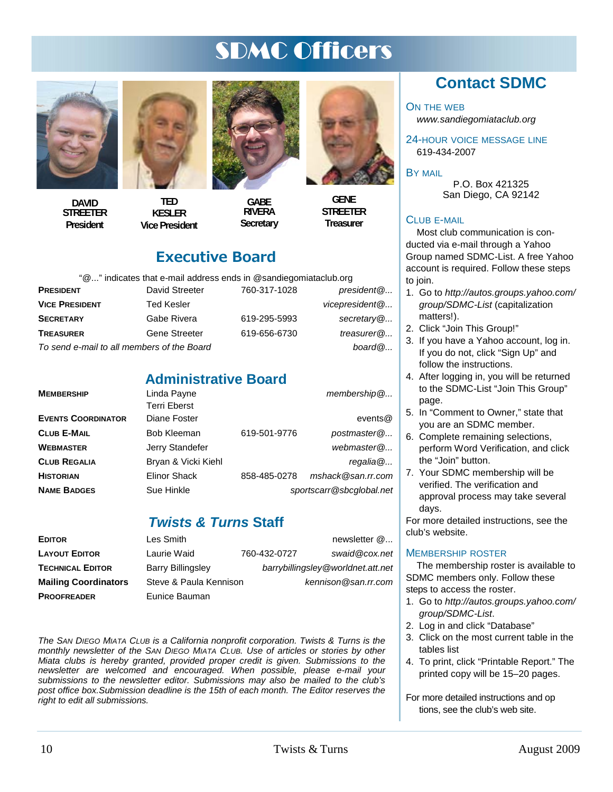# SDMC Officers



**DAVID STREETER President** 

**TED KESLER Vice President** 



**GABE RIVERA Secretary** 



**STREETER Treasurer** 

# Executive Board

"@..." indicates that e-mail address ends in @sandiegomiataclub.org

| <b>PRESIDENT</b>      | David Streeter                             | 760-317-1028 | president@     |
|-----------------------|--------------------------------------------|--------------|----------------|
| <b>VICE PRESIDENT</b> | Ted Kesler                                 |              | vicepresident@ |
| SECRETARY             | Gabe Rivera                                | 619-295-5993 | secretary $@$  |
| <b>TREASURER</b>      | <b>Gene Streeter</b>                       | 619-656-6730 | treasurer $@$  |
|                       | To send e-mail to all members of the Board |              | board@         |

### **Administrative Board**

| <b>MEMBERSHIP</b>         | Linda Payne         |              | $m$ embership $@$        |
|---------------------------|---------------------|--------------|--------------------------|
|                           | <b>Terri Eberst</b> |              |                          |
| <b>EVENTS COORDINATOR</b> | Diane Foster        |              | events $@$               |
| <b>CLUB E-MAIL</b>        | <b>Bob Kleeman</b>  | 619-501-9776 | postmaster@              |
| WEBMASTER                 | Jerry Standefer     |              | webmaster@               |
| <b>CLUB REGALIA</b>       | Bryan & Vicki Kiehl |              | regalia@                 |
| <b>HISTORIAN</b>          | <b>Elinor Shack</b> | 858-485-0278 | mshack@san.rr.com        |
| <b>NAME BADGES</b>        | Sue Hinkle          |              | sportscarr@sbcglobal.net |
|                           |                     |              |                          |

### *Twists & Turns* **Staff**

| <b>EDITOR</b>               | Les Smith                |              | newsletter $@$                    |
|-----------------------------|--------------------------|--------------|-----------------------------------|
| <b>LAYOUT EDITOR</b>        | Laurie Waid              | 760-432-0727 | swaid@cox.net                     |
| <b>TECHNICAL EDITOR</b>     | <b>Barry Billingsley</b> |              | barrybillingsley@worldnet.att.net |
| <b>Mailing Coordinators</b> | Steve & Paula Kennison   |              | kennison@san.rr.com               |
| <b>PROOFREADER</b>          | Eunice Bauman            |              |                                   |

*The SAN DIEGO MIATA CLUB is a California nonprofit corporation. Twists & Turns is the monthly newsletter of the SAN DIEGO MIATA CLUB. Use of articles or stories by other Miata clubs is hereby granted, provided proper credit is given. Submissions to the newsletter are welcomed and encouraged. When possible, please e-mail your submissions to the newsletter editor. Submissions may also be mailed to the club's post office box.Submission deadline is the 15th of each month. The Editor reserves the right to edit all submissions.* 

# **Contact SDMC**

ON THE WEB

*www.sandiegomiataclub.org* 

24-HOUR VOICE MESSAGE LINE 619-434-2007

BY MAIL

P.O. Box 421325 San Diego, CA 92142

#### CLUB E-MAIL

Most club communication is conducted via e-mail through a Yahoo Group named SDMC-List. A free Yahoo account is required. Follow these steps to join.

- 1. Go to *http://autos.groups.yahoo.com/ group/SDMC-List* (capitalization matters!).
- 2. Click "Join This Group!"
- 3. If you have a Yahoo account, log in. If you do not, click "Sign Up" and follow the instructions.
- 4. After logging in, you will be returned to the SDMC-List "Join This Group" page.
- 5. In "Comment to Owner," state that you are an SDMC member.
- 6. Complete remaining selections, perform Word Verification, and click the "Join" button.
- 7. Your SDMC membership will be verified. The verification and approval process may take several days.

For more detailed instructions, see the club's website.

#### MEMBERSHIP ROSTER

The membership roster is available to SDMC members only. Follow these steps to access the roster.

- 1. Go to *http://autos.groups.yahoo.com/ group/SDMC-List*.
- 2. Log in and click "Database"
- 3. Click on the most current table in the tables list
- 4. To print, click "Printable Report." The printed copy will be 15–20 pages.

For more detailed instructions and op tions, see the club's web site.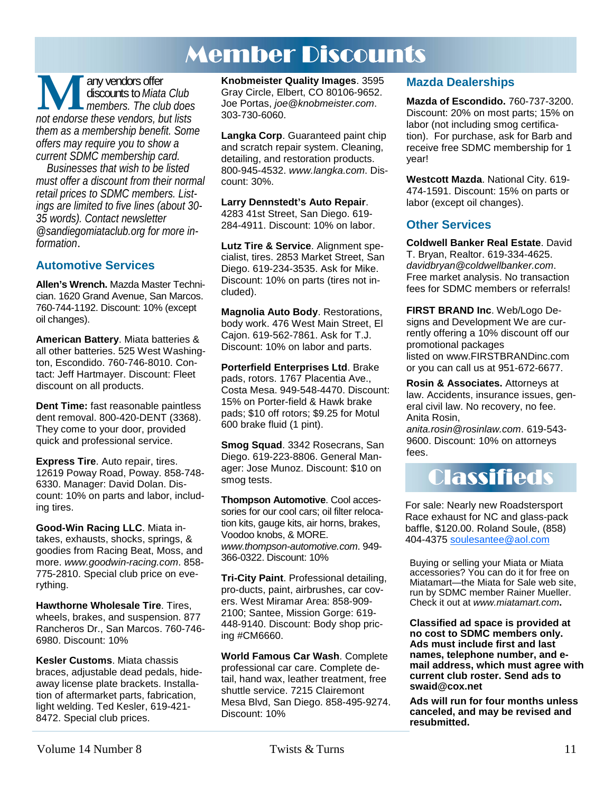# Member Discounts

**M** any vendors offer<br> *not endorse these vendors, but lists*<br> *not endorse these vendors, but lists* discounts to *Miata Club members. The club does them as a membership benefit. Some offers may require you to show a current SDMC membership card.* 

*Businesses that wish to be listed must offer a discount from their normal retail prices to SDMC members. Listings are limited to five lines (about 30- 35 words). Contact newsletter @sandiegomiataclub.org for more information*.

#### **Automotive Services**

**Allen's Wrench.** Mazda Master Technician. 1620 Grand Avenue, San Marcos. 760-744-1192. Discount: 10% (except oil changes).

**American Battery**. Miata batteries & all other batteries. 525 West Washington, Escondido. 760-746-8010. Contact: Jeff Hartmayer. Discount: Fleet discount on all products.

**Dent Time:** fast reasonable paintless dent removal. 800-420-DENT (3368). They come to your door, provided quick and professional service.

**Express Tire**. Auto repair, tires. 12619 Poway Road, Poway. 858-748- 6330. Manager: David Dolan. Discount: 10% on parts and labor, including tires.

**Good-Win Racing LLC**. Miata intakes, exhausts, shocks, springs, & goodies from Racing Beat, Moss, and more. *www.goodwin-racing.com*. 858- 775-2810. Special club price on everything.

**Hawthorne Wholesale Tire**. Tires, wheels, brakes, and suspension. 877 Rancheros Dr., San Marcos. 760-746- 6980. Discount: 10%

**Kesler Customs**. Miata chassis braces, adjustable dead pedals, hideaway license plate brackets. Installation of aftermarket parts, fabrication, light welding. Ted Kesler, 619-421- 8472. Special club prices.

**Knobmeister Quality Images**. 3595 Gray Circle, Elbert, CO 80106-9652. Joe Portas, *joe@knobmeister.com*. 303-730-6060.

**Langka Corp**. Guaranteed paint chip and scratch repair system. Cleaning, detailing, and restoration products. 800-945-4532. *www.langka.com*. Discount: 30%.

**Larry Dennstedt's Auto Repair**. 4283 41st Street, San Diego. 619- 284-4911. Discount: 10% on labor.

**Lutz Tire & Service**. Alignment specialist, tires. 2853 Market Street, San Diego. 619-234-3535. Ask for Mike. Discount: 10% on parts (tires not included).

**Magnolia Auto Body**. Restorations, body work. 476 West Main Street, El Cajon. 619-562-7861. Ask for T.J. Discount: 10% on labor and parts.

**Porterfield Enterprises Ltd**. Brake pads, rotors. 1767 Placentia Ave., Costa Mesa. 949-548-4470. Discount: 15% on Porter-field & Hawk brake pads; \$10 off rotors; \$9.25 for Motul 600 brake fluid (1 pint).

**Smog Squad**. 3342 Rosecrans, San Diego. 619-223-8806. General Manager: Jose Munoz. Discount: \$10 on smog tests.

**Thompson Automotive**. Cool accessories for our cool cars; oil filter relocation kits, gauge kits, air horns, brakes, Voodoo knobs, & MORE. *www.thompson-automotive.com*. 949- 366-0322. Discount: 10%

**Tri-City Paint**. Professional detailing, pro-ducts, paint, airbrushes, car covers. West Miramar Area: 858-909- 2100; Santee, Mission Gorge: 619- 448-9140. Discount: Body shop pricing #CM6660.

**World Famous Car Wash**. Complete professional car care. Complete detail, hand wax, leather treatment, free shuttle service. 7215 Clairemont Mesa Blvd, San Diego. 858-495-9274. Discount: 10%

#### **Mazda Dealerships**

**Mazda of Escondido.** 760-737-3200. Discount: 20% on most parts; 15% on labor (not including smog certification). For purchase, ask for Barb and receive free SDMC membership for 1 year!

**Westcott Mazda**. National City. 619- 474-1591. Discount: 15% on parts or labor (except oil changes).

#### **Other Services**

**Coldwell Banker Real Estate**. David T. Bryan, Realtor. 619-334-4625. *davidbryan@coldwellbanker.com*. Free market analysis. No transaction fees for SDMC members or referrals!

**FIRST BRAND Inc**. Web/Logo Designs and Development We are currently offering a 10% discount off our promotional packages listed on www.FIRSTBRANDinc.com or you can call us at 951-672-6677.

**Rosin & Associates.** Attorneys at law. Accidents, insurance issues, general civil law. No recovery, no fee. Anita Rosin,

*anita.rosin@rosinlaw.com*. 619-543- 9600. Discount: 10% on attorneys fees.



For sale: Nearly new Roadstersport Race exhaust for NC and glass-pack baffle, \$120.00. Roland Soule, (858) 404-4375 soulesantee@aol.com

Buying or selling your Miata or Miata accessories? You can do it for free on Miatamart—the Miata for Sale web site, run by SDMC member Rainer Mueller. Check it out at *www.miatamart.com***.** 

**Classified ad space is provided at no cost to SDMC members only. Ads must include first and last names, telephone number, and email address, which must agree with current club roster. Send ads to swaid@cox.net**

**Ads will run for four months unless canceled, and may be revised and resubmitted.**